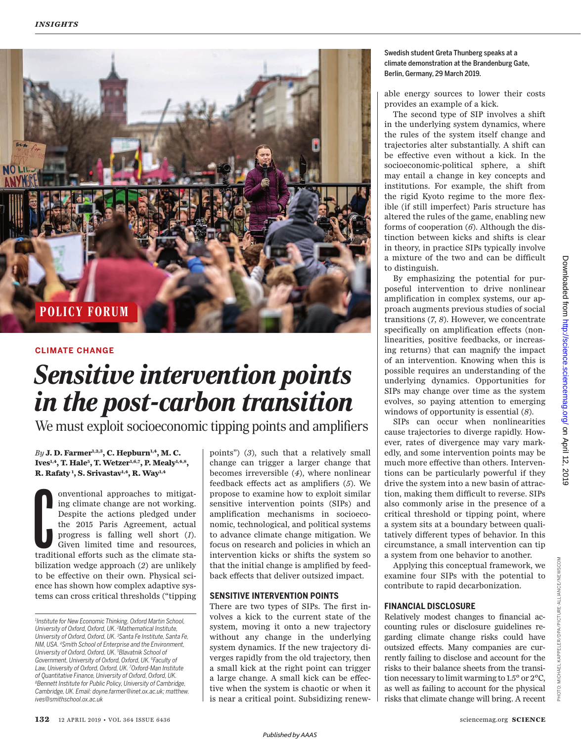

#### **CLIMATE CHANGE**

# *Sensitive intervention points in the post-carbon transition*

We must exploit socioeconomic tipping points and amplifiers

*By* **J. D. Farmer1,2,3, C. Hepburn1,4, M. C. Ives1,4, T. Hale<sup>5</sup> , T. Wetzer1,6,7, P. Mealy1,4,8 , R. Rafaty <sup>1</sup> , S. Srivastav1,4, R. Way1,4**

International approaches to mitigating climate change are not working.<br>
Despite the actions pledged under<br>
the 2015 Paris Agreement, actual<br>
progress is falling well short (1).<br>
Given limited time and resources,<br>
tradition onventional approaches to mitigating climate change are not working. Despite the actions pledged under the 2015 Paris Agreement, actual progress is falling well short (*1*). Given limited time and resources, bilization wedge approach (*2*) are unlikely to be effective on their own. Physical science has shown how complex adaptive systems can cross critical thresholds ("tipping points") (*3*), such that a relatively small change can trigger a larger change that becomes irreversible (*4*), where nonlinear feedback effects act as amplifiers (*5*). We propose to examine how to exploit similar sensitive intervention points (SIPs) and amplification mechanisms in socioeconomic, technological, and political systems to advance climate change mitigation. We focus on research and policies in which an intervention kicks or shifts the system so that the initial change is amplified by feedback effects that deliver outsized impact.

#### **SENSITIVE INTERVENTION POINTS**

There are two types of SIPs. The first involves a kick to the current state of the system, moving it onto a new trajectory without any change in the underlying system dynamics. If the new trajectory diverges rapidly from the old trajectory, then a small kick at the right point can trigger a large change. A small kick can be effective when the system is chaotic or when it is near a critical point. Subsidizing renew-

#### Swedish student Greta Thunberg speaks at a climate demonstration at the Brandenburg Gate, Berlin, Germany, 29 March 2019.

able energy sources to lower their costs provides an example of a kick.

The second type of SIP involves a shift in the underlying system dynamics, where the rules of the system itself change and trajectories alter substantially. A shift can be effective even without a kick. In the socioeconomic-political sphere, a shift may entail a change in key concepts and institutions. For example, the shift from the rigid Kyoto regime to the more flexible (if still imperfect) Paris structure has altered the rules of the game, enabling new forms of cooperation (*6*). Although the distinction between kicks and shifts is clear in theory, in practice SIPs typically involve a mixture of the two and can be difficult to distinguish.

By emphasizing the potential for purposeful intervention to drive nonlinear amplification in complex systems, our approach augments previous studies of social transitions (*7*, *8*). However, we concentrate specifically on amplification effects (nonlinearities, positive feedbacks, or increasing returns) that can magnify the impact of an intervention. Knowing when this is possible requires an understanding of the underlying dynamics. Opportunities for SIPs may change over time as the system evolves, so paying attention to emerging windows of opportunity is essential (*8*).

SIPs can occur when nonlinearities cause trajectories to diverge rapidly. However, rates of divergence may vary markedly, and some intervention points may be much more effective than others. Interventions can be particularly powerful if they drive the system into a new basin of attraction, making them difficult to reverse. SIPs also commonly arise in the presence of a critical threshold or tipping point, where a system sits at a boundary between qualitatively different types of behavior. In this circumstance, a small intervention can tip a system from one behavior to another.

Applying this conceptual framework, we examine four SIPs with the potential to contribute to rapid decarbonization.

#### **FINANCIAL DISCLOSURE**

Relatively modest changes to financial accounting rules or disclosure guidelines regarding climate change risks could have outsized effects. Many companies are currently failing to disclose and account for the risks to their balance sheets from the transition necessary to limit warming to 1.5° or 2°C, as well as failing to account for the physical risks that climate change will bring. A recent

PHOTO:

*<sup>1</sup> Institute for New Economic Thinking, Oxford Martin School, University of Oxford, Oxford, UK. <sup>2</sup>Mathematical Institute, University of Oxford, Oxford, UK. <sup>3</sup>Santa Fe Institute, Santa Fe, NM, USA. <sup>4</sup>Smith School of Enterprise and the Environment, University of Oxford, Oxford, UK. <sup>5</sup>Blavatnik School of Government, University of Oxford, Oxford, UK. <sup>6</sup>Faculty of Law, University of Oxford, Oxford, UK. <sup>7</sup>Oxford-Man Institute of Quantitative Finance, University of Oxford, Oxford, UK. <sup>8</sup>Bennett Institute for Public Policy, University of Cambridge, Cambridge, UK. Email: doyne.farmer@inet.ox.ac.uk; matthew. ives@smithschool.ox.ac.uk*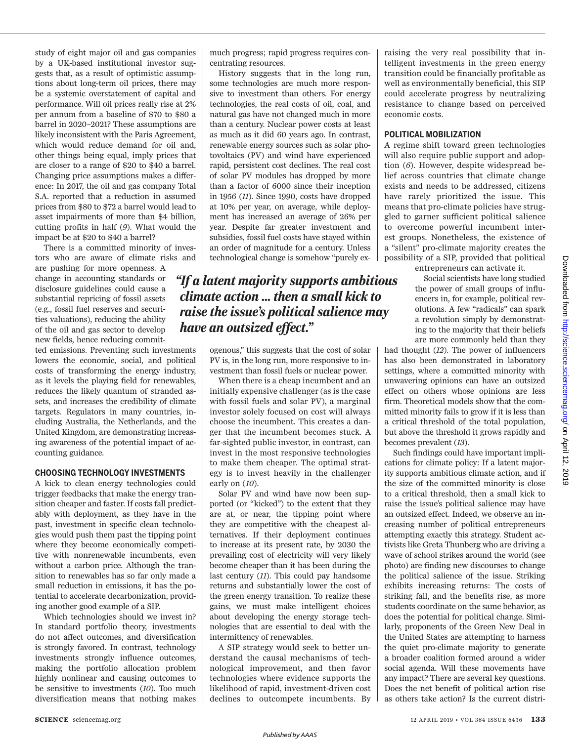study of eight major oil and gas companies by a UK-based institutional investor suggests that, as a result of optimistic assumptions about long-term oil prices, there may be a systemic overstatement of capital and performance. Will oil prices really rise at 2% per annum from a baseline of \$70 to \$80 a barrel in 2020–2021? These assumptions are likely inconsistent with the Paris Agreement, which would reduce demand for oil and, other things being equal, imply prices that are closer to a range of \$20 to \$40 a barrel. Changing price assumptions makes a difference: In 2017, the oil and gas company Total S.A. reported that a reduction in assumed prices from \$80 to \$72 a barrel would lead to asset impairments of more than \$4 billion, cutting profits in half (*9*). What would the impact be at \$20 to \$40 a barrel?

There is a committed minority of investors who are aware of climate risks and

are pushing for more openness. A change in accounting standards or disclosure guidelines could cause a substantial repricing of fossil assets (e.g., fossil fuel reserves and securities valuations), reducing the ability of the oil and gas sector to develop new fields, hence reducing commit-

ted emissions. Preventing such investments lowers the economic, social, and political costs of transforming the energy industry, as it levels the playing field for renewables, reduces the likely quantum of stranded assets, and increases the credibility of climate targets. Regulators in many countries, including Australia, the Netherlands, and the United Kingdom, are demonstrating increasing awareness of the potential impact of accounting guidance.

#### **CHOOSING TECHNOLOGY INVESTMENTS**

A kick to clean energy technologies could trigger feedbacks that make the energy transition cheaper and faster. If costs fall predictably with deployment, as they have in the past, investment in specific clean technologies would push them past the tipping point where they become economically competitive with nonrenewable incumbents, even without a carbon price. Although the transition to renewables has so far only made a small reduction in emissions, it has the potential to accelerate decarbonization, providing another good example of a SIP.

Which technologies should we invest in? In standard portfolio theory, investments do not affect outcomes, and diversification is strongly favored. In contrast, technology investments strongly influence outcomes, making the portfolio allocation problem highly nonlinear and causing outcomes to be sensitive to investments (*10*). Too much diversification means that nothing makes much progress; rapid progress requires concentrating resources.

History suggests that in the long run, some technologies are much more responsive to investment than others. For energy technologies, the real costs of oil, coal, and natural gas have not changed much in more than a century. Nuclear power costs at least as much as it did 60 years ago. In contrast, renewable energy sources such as solar photovoltaics (PV) and wind have experienced rapid, persistent cost declines. The real cost of solar PV modules has dropped by more than a factor of 6000 since their inception in 1956 (*11*). Since 1990, costs have dropped at 10% per year, on average, while deployment has increased an average of 26% per year. Despite far greater investment and subsidies, fossil fuel costs have stayed within an order of magnitude for a century. Unless technological change is somehow "purely ex-

## *"If a latent majority supports ambitious climate action ... then a small kick to raise the issue's political salience may have an outsized effect."*

ogenous," this suggests that the cost of solar PV is, in the long run, more responsive to investment than fossil fuels or nuclear power.

When there is a cheap incumbent and an initially expensive challenger (as is the case with fossil fuels and solar PV), a marginal investor solely focused on cost will always choose the incumbent. This creates a danger that the incumbent becomes stuck. A far-sighted public investor, in contrast, can invest in the most responsive technologies to make them cheaper. The optimal strategy is to invest heavily in the challenger early on (*10*).

Solar PV and wind have now been supported (or "kicked") to the extent that they are at, or near, the tipping point where they are competitive with the cheapest alternatives. If their deployment continues to increase at its present rate, by 2030 the prevailing cost of electricity will very likely become cheaper than it has been during the last century (*11*). This could pay handsome returns and substantially lower the cost of the green energy transition. To realize these gains, we must make intelligent choices about developing the energy storage technologies that are essential to deal with the intermittency of renewables.

A SIP strategy would seek to better understand the causal mechanisms of technological improvement, and then favor technologies where evidence supports the likelihood of rapid, investment-driven cost declines to outcompete incumbents. By raising the very real possibility that intelligent investments in the green energy transition could be financially profitable as well as environmentally beneficial, this SIP could accelerate progress by neutralizing resistance to change based on perceived economic costs.

#### **POLITICAL MOBILIZATION**

A regime shift toward green technologies will also require public support and adoption (*6*). However, despite widespread belief across countries that climate change exists and needs to be addressed, citizens have rarely prioritized the issue. This means that pro-climate policies have struggled to garner sufficient political salience to overcome powerful incumbent interest groups. Nonetheless, the existence of a "silent" pro-climate majority creates the possibility of a SIP, provided that political

entrepreneurs can activate it.

Social scientists have long studied the power of small groups of influencers in, for example, political revolutions. A few "radicals" can spark a revolution simply by demonstrating to the majority that their beliefs are more commonly held than they

had thought (*12*). The power of influencers has also been demonstrated in laboratory settings, where a committed minority with unwavering opinions can have an outsized effect on others whose opinions are less firm. Theoretical models show that the committed minority fails to grow if it is less than a critical threshold of the total population, but above the threshold it grows rapidly and becomes prevalent (*13*).

Such findings could have important implications for climate policy: If a latent majority supports ambitious climate action, and if the size of the committed minority is close to a critical threshold, then a small kick to raise the issue's political salience may have an outsized effect. Indeed, we observe an increasing number of political entrepreneurs attempting exactly this strategy. Student activists like Greta Thunberg who are driving a wave of school strikes around the world (see photo) are finding new discourses to change the political salience of the issue. Striking exhibits increasing returns: The costs of striking fall, and the benefits rise, as more students coordinate on the same behavior, as does the potential for political change. Similarly, proponents of the Green New Deal in the United States are attempting to harness the quiet pro-climate majority to generate a broader coalition formed around a wider social agenda. Will these movements have any impact? There are several key questions. Does the net benefit of political action rise as others take action? Is the current distri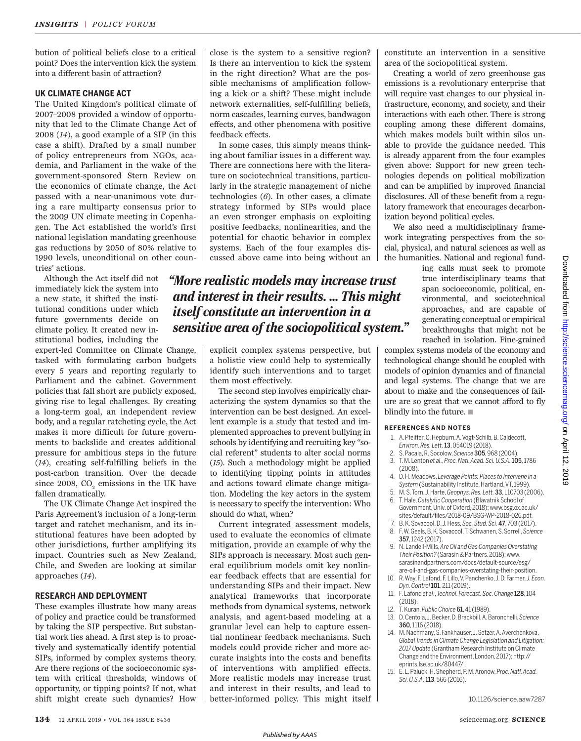bution of political beliefs close to a critical point? Does the intervention kick the system into a different basin of attraction?

#### **UK CLIMATE CHANGE ACT**

The United Kingdom's political climate of 2007–2008 provided a window of opportunity that led to the Climate Change Act of 2008 (*14*), a good example of a SIP (in this case a shift). Drafted by a small number of policy entrepreneurs from NGOs, academia, and Parliament in the wake of the government-sponsored Stern Review on the economics of climate change, the Act passed with a near-unanimous vote during a rare multiparty consensus prior to the 2009 UN climate meeting in Copenhagen. The Act established the world's first national legislation mandating greenhouse gas reductions by 2050 of 80% relative to 1990 levels, unconditional on other countries' actions.

Although the Act itself did not immediately kick the system into a new state, it shifted the institutional conditions under which future governments decide on climate policy. It created new institutional bodies, including the

expert-led Committee on Climate Change, tasked with formulating carbon budgets every 5 years and reporting regularly to Parliament and the cabinet. Government policies that fall short are publicly exposed, giving rise to legal challenges. By creating a long-term goal, an independent review body, and a regular ratcheting cycle, the Act makes it more difficult for future governments to backslide and creates additional pressure for ambitious steps in the future (*14*), creating self-fulfilling beliefs in the post-carbon transition. Over the decade since 2008,  $\text{CO}_2$  emissions in the UK have fallen dramatically.

The UK Climate Change Act inspired the Paris Agreement's inclusion of a long-term target and ratchet mechanism, and its institutional features have been adopted by other jurisdictions, further amplifying its impact. Countries such as New Zealand, Chile, and Sweden are looking at similar approaches (*14*).

#### **RESEARCH AND DEPLOYMENT**

These examples illustrate how many areas of policy and practice could be transformed by taking the SIP perspective. But substantial work lies ahead. A first step is to proactively and systematically identify potential SIPs, informed by complex systems theory. Are there regions of the socioeconomic system with critical thresholds, windows of opportunity, or tipping points? If not, what shift might create such dynamics? How close is the system to a sensitive region? Is there an intervention to kick the system in the right direction? What are the possible mechanisms of amplification following a kick or a shift? These might include network externalities, self-fulfilling beliefs, norm cascades, learning curves, bandwagon effects, and other phenomena with positive feedback effects.

In some cases, this simply means thinking about familiar issues in a different way. There are connections here with the literature on sociotechnical transitions, particularly in the strategic management of niche technologies (*6*). In other cases, a climate strategy informed by SIPs would place an even stronger emphasis on exploiting positive feedbacks, nonlinearities, and the potential for chaotic behavior in complex systems. Each of the four examples discussed above came into being without an

## *"More realistic models may increase trust and interest in their results. ... This might itself constitute an intervention in a sensitive area of the sociopolitical system."*

explicit complex systems perspective, but a holistic view could help to systemically identify such interventions and to target them most effectively.

The second step involves empirically characterizing the system dynamics so that the intervention can be best designed. An excellent example is a study that tested and implemented approaches to prevent bullying in schools by identifying and recruiting key "social referent" students to alter social norms (*15*). Such a methodology might be applied to identifying tipping points in attitudes and actions toward climate change mitigation. Modeling the key actors in the system is necessary to specify the intervention: Who should do what, when?

Current integrated assessment models, used to evaluate the economics of climate mitigation, provide an example of why the SIPs approach is necessary. Most such general equilibrium models omit key nonlinear feedback effects that are essential for understanding SIPs and their impact. New analytical frameworks that incorporate methods from dynamical systems, network analysis, and agent-based modeling at a granular level can help to capture essential nonlinear feedback mechanisms. Such models could provide richer and more accurate insights into the costs and benefits of interventions with amplified effects. More realistic models may increase trust and interest in their results, and lead to better-informed policy. This might itself

constitute an intervention in a sensitive area of the sociopolitical system.

Creating a world of zero greenhouse gas emissions is a revolutionary enterprise that will require vast changes to our physical infrastructure, economy, and society, and their interactions with each other. There is strong coupling among these different domains, which makes models built within silos unable to provide the guidance needed. This is already apparent from the four examples given above: Support for new green technologies depends on political mobilization and can be amplified by improved financial disclosures. All of these benefit from a regulatory framework that encourages decarbonization beyond political cycles.

We also need a multidisciplinary framework integrating perspectives from the social, physical, and natural sciences as well as the humanities. National and regional fund-

> ing calls must seek to promote true interdisciplinary teams that span socioeconomic, political, environmental, and sociotechnical approaches, and are capable of generating conceptual or empirical breakthroughs that might not be reached in isolation. Fine-grained

complex systems models of the economy and technological change should be coupled with models of opinion dynamics and of financial and legal systems. The change that we are about to make and the consequences of failure are so great that we cannot afford to fly blindly into the future.  $\blacksquare$ 

#### **REFERENCES AND NOTES**

- 1. A. Pfeiffer, C. Hepburn, A. Vogt-Schilb, B. Caldecott, *Environ. Res. Lett.*13, 054019 (2018).
- 2. S. Pacala, R. Socolow, *Science* 305, 968 (2004).
- 3. T. M. Lenton *et al*., *Proc. Natl. Acad. Sci. U.S.A.*105, 1786 (2008). 4. D. H. Meadows, *Leverage Points: Places to Intervene in a*
- *System* (Sustainability Institute, Hartland, VT, 1999). 5. M. S. Torn, J. Harte, *Geophys. Res. Lett.* 33, L10703 (2006).
- 6. T. Hale, *Catalytic Cooperation* (Blavatnik School of Government, Univ. of Oxford, 2018); www.bsg.ox.ac.uk/ sites/default/files/2018-09/BSG-WP-2018-026.pdf.
- 7. B. K. Sovacool, D. J. Hess, *Soc. Stud. Sci.* 47, 703 (2017). 8. F. W. Geels, B. K. Sovacool, T. Schwanen, S. Sorrell, *Science*
- 357, 1242 (2017). 9. N. Landell-Mills, *Are Oil and Gas Companies Overstating*
- *Their Position?* (Sarasin & Partners, 2018); www. sarasinandpartners.com/docs/default-source/esg/ are-oil-and-gas-companies-overstating-their-position.
- 10. R. Way, F. Lafond, F. Lillo, V. Panchenko, J. D. Farmer, *J. Econ. Dyn. Control*101, 211 (2019).
- 11. F. Lafond *et al*., *Technol. Forecast. Soc. Change* 128, 104 (2018).
- 12. T. Kuran, *Public Choice* 61, 41 (1989).
- 13. D. Centola, J. Becker, D. Brackbill, A. Baronchelli, *Science* 360, 1116 (2018).
- 14. M. Nachmany, S. Fankhauser, J. Setzer, A. Averchenkova, *Global Trends in Climate Change Legislation and Litigation: 2017 Update* (Grantham Research Institute on Climate Change and the Environment, London, 2017); http:// eprints.lse.ac.uk/80447/.
- 15. E. L. Paluck, H. Shepherd, P. M. Aronow, *Proc. Natl. Acad. Sci. U.S.A.* 113, 566 (2016).

10.1126/science.aaw7287